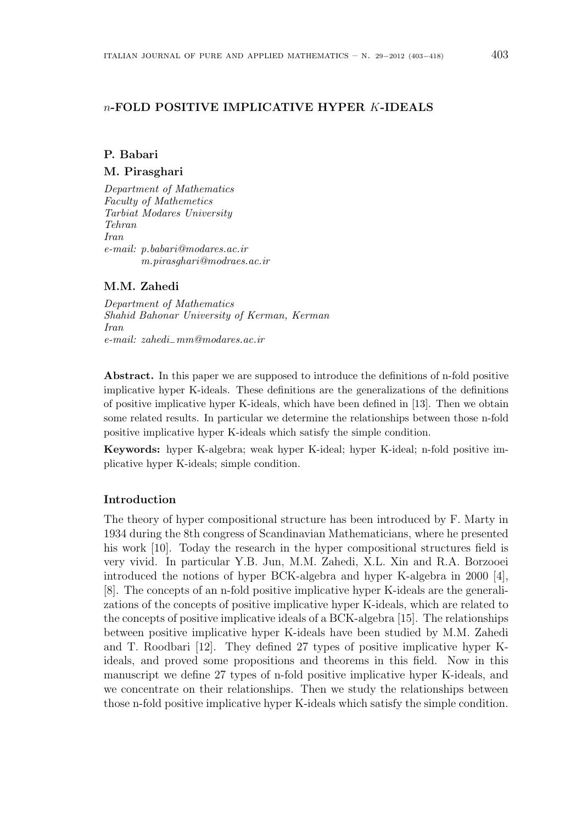## n-FOLD POSITIVE IMPLICATIVE HYPER K-IDEALS

# P. Babari M. Pirasghari

Department of Mathematics Faculty of Mathemetics Tarbiat Modares University Tehran Iran e-mail: p.babari@modares.ac.ir m.pirasghari@modraes.ac.ir

## M.M. Zahedi

Department of Mathematics Shahid Bahonar University of Kerman, Kerman Iran e-mail: zahedi−mm@modares.ac.ir

Abstract. In this paper we are supposed to introduce the definitions of n-fold positive implicative hyper K-ideals. These definitions are the generalizations of the definitions of positive implicative hyper K-ideals, which have been defined in [13]. Then we obtain some related results. In particular we determine the relationships between those n-fold positive implicative hyper K-ideals which satisfy the simple condition.

Keywords: hyper K-algebra; weak hyper K-ideal; hyper K-ideal; n-fold positive implicative hyper K-ideals; simple condition.

### Introduction

The theory of hyper compositional structure has been introduced by F. Marty in 1934 during the 8th congress of Scandinavian Mathematicians, where he presented his work [10]. Today the research in the hyper compositional structures field is very vivid. In particular Y.B. Jun, M.M. Zahedi, X.L. Xin and R.A. Borzooei introduced the notions of hyper BCK-algebra and hyper K-algebra in 2000 [4], [8]. The concepts of an n-fold positive implicative hyper K-ideals are the generalizations of the concepts of positive implicative hyper K-ideals, which are related to the concepts of positive implicative ideals of a BCK-algebra [15]. The relationships between positive implicative hyper K-ideals have been studied by M.M. Zahedi and T. Roodbari [12]. They defined 27 types of positive implicative hyper Kideals, and proved some propositions and theorems in this field. Now in this manuscript we define 27 types of n-fold positive implicative hyper K-ideals, and we concentrate on their relationships. Then we study the relationships between those n-fold positive implicative hyper K-ideals which satisfy the simple condition.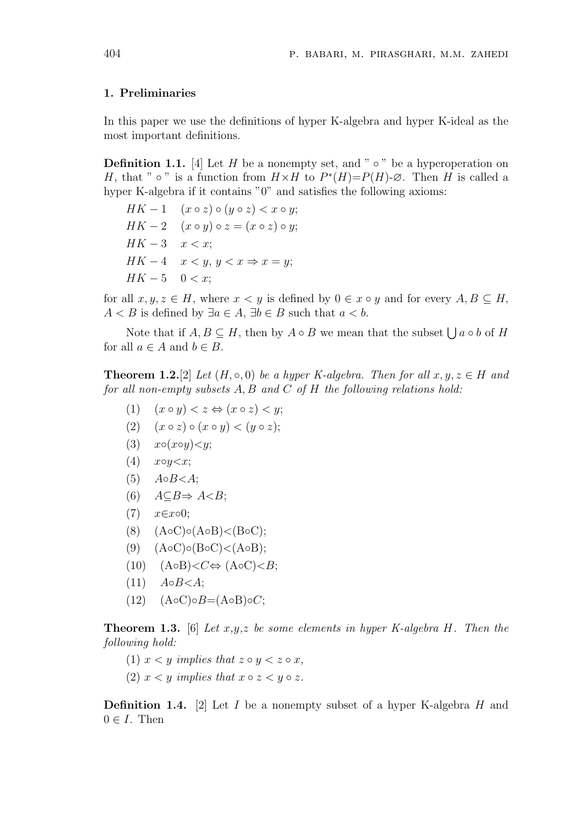### 1. Preliminaries

In this paper we use the definitions of hyper K-algebra and hyper K-ideal as the most important definitions.

**Definition 1.1.** [4] Let H be a nonempty set, and " $\circ$ " be a hyperoperation on H, that "  $\circ$  " is a function from  $H \times H$  to  $P^*(H) = P(H) \cdot \emptyset$ . Then H is called a hyper K-algebra if it contains "0" and satisfies the following axioms:

 $HK-1$   $(x \circ z) \circ (y \circ z) < x \circ y;$  $HK - 2$   $(x \circ y) \circ z = (x \circ z) \circ y;$  $HK - 3$   $x < x$ ;  $HK-4 \quad x < y, y < x \Rightarrow x = y;$  $HK - 5 \quad 0 < x;$ 

for all  $x, y, z \in H$ , where  $x \leq y$  is defined by  $0 \in x \circ y$  and for every  $A, B \subseteq H$ ,  $A < B$  is defined by  $\exists a \in A$ ,  $\exists b \in B$  such that  $a < b$ .

Note that if  $A, B \subseteq H$ , then by  $A \circ B$  we mean that the subset  $\bigcup a \circ b$  of H for all  $a \in A$  and  $b \in B$ .

**Theorem 1.2.**[2] Let  $(H, \circ, 0)$  be a hyper K-algebra. Then for all  $x, y, z \in H$  and for all non-empty subsets  $A, B$  and  $C$  of  $H$  the following relations hold:

- (1)  $(x \circ y) < z \Leftrightarrow (x \circ z) < y;$
- (2)  $(x \circ z) \circ (x \circ y) < (y \circ z);$
- (3)  $x \circ (x \circ y) \leq y$ ;
- $(4)$   $x \circ y \leq x$ ;
- $(5)$   $A \circ B \leq A$ ;
- (6)  $A \subseteq B \Rightarrow A \leq B$ ;
- $(7)$   $x \in x \circ 0;$
- (8) (A◦C)◦(A◦B)<(B◦C);
- $(9)$   $(AoC) \circ (BoC) < (AoB);$
- $(10)$   $(AoB) < C \Leftrightarrow (AoC) < B;$
- $(11)$   $A \circ B \leq A$ ;
- $(12)$   $(AoC) \circ B = (AoB) \circ C;$

**Theorem 1.3.** [6] Let  $x,y,z$  be some elements in hyper K-algebra H. Then the following hold:

- (1)  $x < y$  implies that  $z \circ y < z \circ x$ ,
- (2)  $x < y$  implies that  $x \circ z < y \circ z$ .

**Definition 1.4.** [2] Let I be a nonempty subset of a hyper K-algebra H and  $0 \in I$ . Then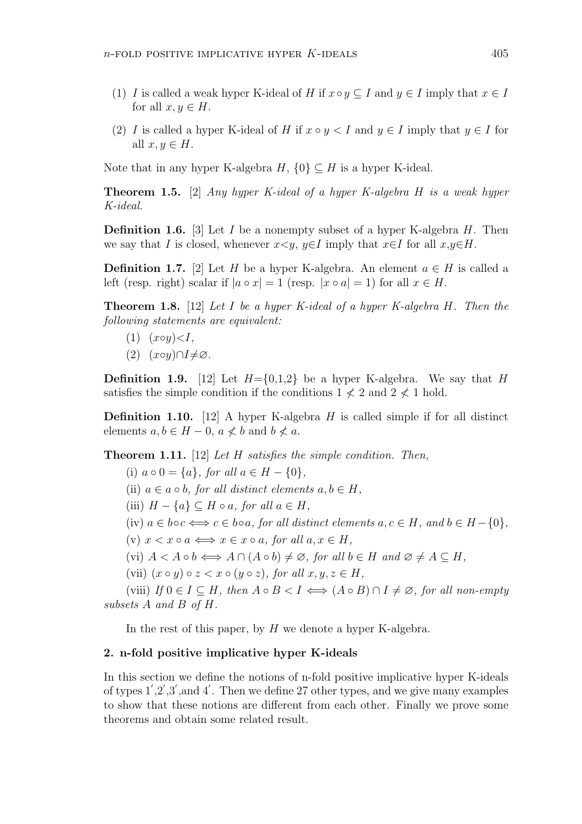- (1) I is called a weak hyper K-ideal of H if  $x \circ y \subseteq I$  and  $y \in I$  imply that  $x \in I$ for all  $x, y \in H$ .
- (2) I is called a hyper K-ideal of H if  $x \circ y < I$  and  $y \in I$  imply that  $y \in I$  for all  $x, y \in H$ .

Note that in any hyper K-algebra  $H$ ,  $\{0\} \subseteq H$  is a hyper K-ideal.

**Theorem 1.5.** [2] Any hyper K-ideal of a hyper K-algebra H is a weak hyper K-ideal.

**Definition 1.6.** [3] Let I be a nonempty subset of a hyper K-algebra H. Then we say that I is closed, whenever  $x \leq y$ ,  $y \in I$  imply that  $x \in I$  for all  $x, y \in H$ .

**Definition 1.7.** [2] Let H be a hyper K-algebra. An element  $a \in H$  is called a left (resp. right) scalar if  $|a \circ x| = 1$  (resp.  $|x \circ a| = 1$ ) for all  $x \in H$ .

**Theorem 1.8.** [12] Let I be a hyper K-ideal of a hyper K-algebra H. Then the following statements are equivalent:

 $(1)$   $(x \circ y) < I$ .

subsets A and B of H.

 $(2)$   $(x \circ y) \cap I \neq \varnothing$ .

**Definition 1.9.** [12] Let  $H = \{0,1,2\}$  be a hyper K-algebra. We say that H satisfies the simple condition if the conditions  $1 \nless 2$  and  $2 \nless 1$  hold.

**Definition 1.10.** [12] A hyper K-algebra H is called simple if for all distinct elements  $a, b \in H - 0$ ,  $a \nless b$  and  $b \nless a$ .

**Theorem 1.11.** [12] Let  $H$  satisfies the simple condition. Then,

(i)  $a \circ 0 = \{a\}$ , for all  $a \in H - \{0\}$ , (ii)  $a \in a \circ b$ , for all distinct elements  $a, b \in H$ , (iii)  $H - \{a\} \subseteq H \circ a$ , for all  $a \in H$ , (iv)  $a \in b \circ c \Longleftrightarrow c \in b \circ a$ , for all distinct elements  $a, c \in H$ , and  $b \in H - \{0\}$ , (v)  $x < x \circ a \iff x \in x \circ a$ , for all  $a, x \in H$ , (vi)  $A < A \circ b \Longleftrightarrow A \cap (A \circ b) \neq \emptyset$ , for all  $b \in H$  and  $\emptyset \neq A \subseteq H$ , (vii)  $(x \circ y) \circ z < x \circ (y \circ z)$ , for all  $x, y, z \in H$ , (viii) If  $0 \in I \subseteq H$ , then  $A \circ B < I \iff (A \circ B) \cap I \neq \emptyset$ , for all non-empty

In the rest of this paper, by  $H$  we denote a hyper K-algebra.

#### 2. n-fold positive implicative hyper K-ideals

In this section we define the notions of n-fold positive implicative hyper K-ideals of types  $1',2',3',$  and  $4'$ . Then we define 27 other types, and we give many examples to show that these notions are different from each other. Finally we prove some theorems and obtain some related result.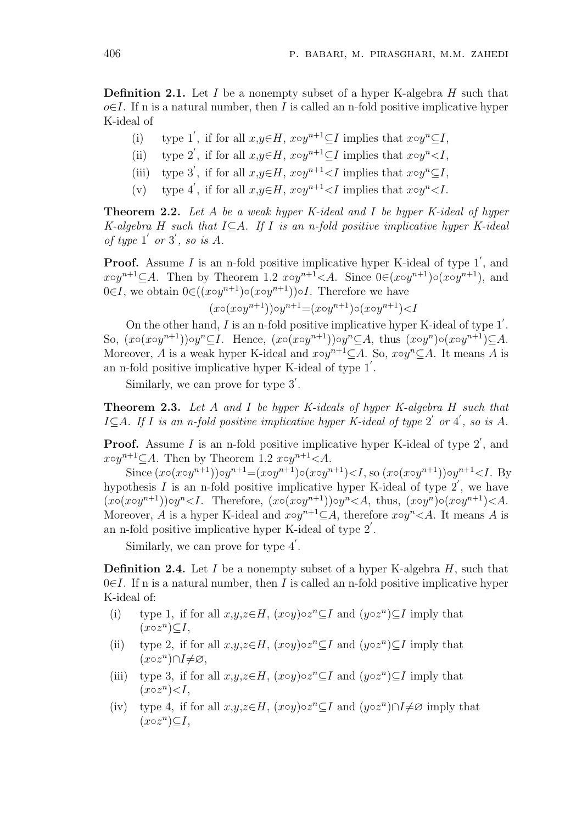**Definition 2.1.** Let I be a nonempty subset of a hyper K-algebra  $H$  such that  $o\in I$ . If n is a natural number, then I is called an n-fold positive implicative hyper K-ideal of

- (i) type 1', if for all  $x,y \in H$ ,  $x \circ y^{n+1} \subseteq I$  implies that  $x \circ y^n \subseteq I$ ,
- (ii) type 2', if for all  $x,y \in H$ ,  $x \circ y^{n+1} \subseteq I$  implies that  $x \circ y^n \leq I$ ,
- (iii) type 3', if for all  $x,y \in H$ ,  $x \circ y^{n+1} < I$  implies that  $x \circ y^n \subseteq I$ ,
- (v) type 4', if for all  $x,y \in H$ ,  $x \circ y^{n+1} < I$  implies that  $x \circ y^n < I$ .

Theorem 2.2. Let A be a weak hyper K-ideal and I be hyper K-ideal of hyper K-algebra H such that  $I\subseteq A$ . If I is an n-fold positive implicative hyper K-ideal of type  $1'$  or  $3'$ , so is A.

**Proof.** Assume I is an n-fold positive implicative hyper K-ideal of type  $1'$ , and  $x \circ y^{n+1} \subseteq A$ . Then by Theorem 1.2  $x \circ y^{n+1} \leq A$ . Since  $0 \in (x \circ y^{n+1}) \circ (x \circ y^{n+1})$ , and  $0 \in I$ , we obtain  $0 \in ((x \circ y^{n+1}) \circ (x \circ y^{n+1})) \circ I$ . Therefore we have

 $(x \circ (x \circ y^{n+1})) \circ y^{n+1} = (x \circ y^{n+1}) \circ (x \circ y^{n+1}) < I$ 

On the other hand,  $I$  is an n-fold positive implicative hyper K-ideal of type  $1'$ . So,  $(x \circ (x \circ y^{n+1})) \circ y^n \subseteq I$ . Hence,  $(x \circ (x \circ y^{n+1})) \circ y^n \subseteq A$ , thus  $(x \circ y^n) \circ (x \circ y^{n+1}) \subseteq A$ . Moreover, A is a weak hyper K-ideal and  $x \circ y^{n+1} \subseteq A$ . So,  $x \circ y^{n} \subseteq A$ . It means A is an n-fold positive implicative hyper K-ideal of type  $1'$ .

Similarly, we can prove for type  $3'$ .

Theorem 2.3. Let A and I be hyper K-ideals of hyper K-algebra H such that  $I\subseteq A$ . If I is an n-fold positive implicative hyper K-ideal of type 2' or 4', so is A.

**Proof.** Assume I is an n-fold positive implicative hyper K-ideal of type  $2'$ , and  $x \circ y^{n+1} \subseteq A$ . Then by Theorem 1.2  $x \circ y^{n+1} < A$ .

Since  $(x \circ (x \circ y^{n+1})) \circ y^{n+1} = (x \circ y^{n+1}) \circ (x \circ y^{n+1}) < I$ , so  $(x \circ (x \circ y^{n+1})) \circ y^{n+1} < I$ . By hypothesis  $I$  is an n-fold positive implicative hyper K-ideal of type  $2'$ , we have  $(x \circ (x \circ y^{n+1})) \circ y^n \leq I$ . Therefore,  $(x \circ (x \circ y^{n+1})) \circ y^n \leq A$ , thus,  $(x \circ y^n) \circ (x \circ y^{n+1}) \leq A$ . Moreover, A is a hyper K-ideal and  $x \circ y^{n+1} \subseteq A$ , therefore  $x \circ y^n \leq A$ . It means A is an n-fold positive implicative hyper K-ideal of type  $2'$ .

Similarly, we can prove for type  $4'$ .

**Definition 2.4.** Let  $I$  be a nonempty subset of a hyper K-algebra  $H$ , such that  $0 \in I$ . If n is a natural number, then I is called an n-fold positive implicative hyper K-ideal of:

- (i) type 1, if for all  $x,y,z \in H$ ,  $(x \circ y) \circ z^n \subseteq I$  and  $(y \circ z^n) \subseteq I$  imply that  $(x \circ z^n) \subseteq I$ ,
- (ii) type 2, if for all  $x,y,z \in H$ ,  $(x \circ y) \circ z^n \subseteq I$  and  $(y \circ z^n) \subseteq I$  imply that  $(x \circ z^n) \cap I \neq \varnothing,$
- (iii) type 3, if for all  $x,y,z \in H$ ,  $(x \circ y) \circ z^n \subseteq I$  and  $(y \circ z^n) \subseteq I$  imply that  $(x \circ z^n) < I$ ,
- (iv) type 4, if for all  $x,y,z \in H$ ,  $(x \circ y) \circ z^n \subseteq I$  and  $(y \circ z^n) \cap I \neq \emptyset$  imply that  $(x \circ z^n) \subseteq I$ ,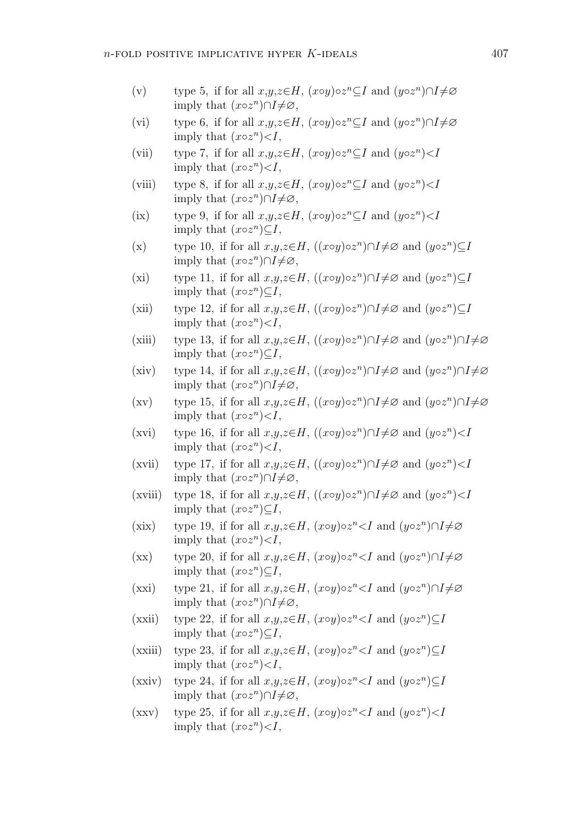- (v) type 5, if for all  $x,y,z \in H$ ,  $(x \circ y) \circ z^n \subseteq I$  and  $(y \circ z^n) \cap I \neq \emptyset$ imply that  $(x \circ z^n) \cap I \neq \emptyset$ ,
- (vi) type 6, if for all  $x,y,z \in H$ ,  $(x \circ y) \circ z^n \subseteq I$  and  $(y \circ z^n) \cap I \neq \emptyset$ imply that  $(x \circ z^n) < I$ ,
- (vii) type 7, if for all  $x,y,z \in H$ ,  $(x \circ y) \circ z^n \subseteq I$  and  $(y \circ z^n) < I$ imply that  $(x \circ z^n) < I$ ,
- (viii) type 8, if for all  $x,y,z \in H$ ,  $(x \circ y) \circ z^n \subseteq I$  and  $(y \circ z^n) < I$ imply that  $(x \circ z^n) \cap I \neq \emptyset$ ,
- (ix) type 9, if for all  $x,y,z \in H$ ,  $(x \circ y) \circ z^n \subseteq I$  and  $(y \circ z^n) < I$ imply that  $(x \circ z^n) \subseteq I$ ,
- (x) type 10, if for all  $x,y,z \in H$ ,  $((x \circ y) \circ z^n) \cap I \neq \emptyset$  and  $(y \circ z^n) \subseteq I$ imply that  $(x \circ z^n) \cap I \neq \emptyset$ ,
- (xi) type 11, if for all  $x,y,z \in H$ ,  $((x \circ y) \circ z^n) \cap I \neq \emptyset$  and  $(y \circ z^n) \subseteq I$ imply that  $(x \circ z^n) \subseteq I$ ,
- (xii) type 12, if for all  $x,y,z \in H$ ,  $((x \circ y) \circ z^n) \cap I \neq \emptyset$  and  $(y \circ z^n) \subseteq I$ imply that  $(x \circ z^n) < I$ ,
- (xiii) type 13, if for all  $x,y,z \in H$ ,  $((x \circ y) \circ z^n) \cap I \neq \emptyset$  and  $(y \circ z^n) \cap I \neq \emptyset$ imply that  $(x \circ z^n) \subseteq I$ ,
- (xiv) type 14, if for all  $x,y,z \in H$ ,  $((x \circ y) \circ z^n) \cap I \neq \emptyset$  and  $(y \circ z^n) \cap I \neq \emptyset$ imply that  $(x \circ z^n) \cap I \neq \emptyset$ ,
- (xv) type 15, if for all  $x,y,z \in H$ ,  $((x \circ y) \circ z^n) \cap I \neq \emptyset$  and  $(y \circ z^n) \cap I \neq \emptyset$ imply that  $(x \circ z^n) < I$ ,
- (xvi) type 16, if for all  $x,y,z \in H$ ,  $((x \circ y) \circ z^n) \cap I \neq \emptyset$  and  $(y \circ z^n) < I$ imply that  $(x \circ z^n) < I$ ,
- (xvii) type 17, if for all  $x,y,z \in H$ ,  $((x \circ y) \circ z^n) \cap I \neq \emptyset$  and  $(y \circ z^n) < I$ imply that  $(x \circ z^n) \cap I \neq \emptyset$ ,
- (xviii) type 18, if for all  $x,y,z \in H$ ,  $((x \circ y) \circ z^n) \cap I \neq \emptyset$  and  $(y \circ z^n) < I$ imply that  $(x \circ z^n) \subseteq I$ ,
- (xix) type 19, if for all  $x,y,z \in H$ ,  $(x \circ y) \circ z^n \leq I$  and  $(y \circ z^n) \cap I \neq \emptyset$ imply that  $(x \circ z^n) < I$ ,
- (xx) type 20, if for all  $x,y,z \in H$ ,  $(x \circ y) \circ z^n < I$  and  $(y \circ z^n) \cap I \neq \emptyset$ imply that  $(x \circ z^n) \subseteq I$ ,
- (xxi) type 21, if for all  $x,y,z \in H$ ,  $(x \circ y) \circ z^n < I$  and  $(y \circ z^n) \cap I \neq \emptyset$ imply that  $(x \circ z^n) \cap I \neq \emptyset$ ,
- (xxii) type 22, if for all  $x,y,z \in H$ ,  $(x \circ y) \circ z^n < I$  and  $(y \circ z^n) \subseteq I$ imply that  $(x \circ z^n) \subseteq I$ ,
- (xxiii) type 23, if for all  $x,y,z \in H$ ,  $(x \circ y) \circ z^n < I$  and  $(y \circ z^n) \subseteq I$ imply that  $(x \circ z^n) < I$ ,
- (xxiv) type 24, if for all  $x,y,z \in H$ ,  $(x \circ y) \circ z^n < I$  and  $(y \circ z^n) \subseteq I$ imply that  $(x \circ z^n) \cap I \neq \emptyset$ ,
- (xxv) type 25, if for all  $x,y,z \in H$ ,  $(x \circ y) \circ z^n < I$  and  $(y \circ z^n) < I$ imply that  $(x \circ z^n) < I$ ,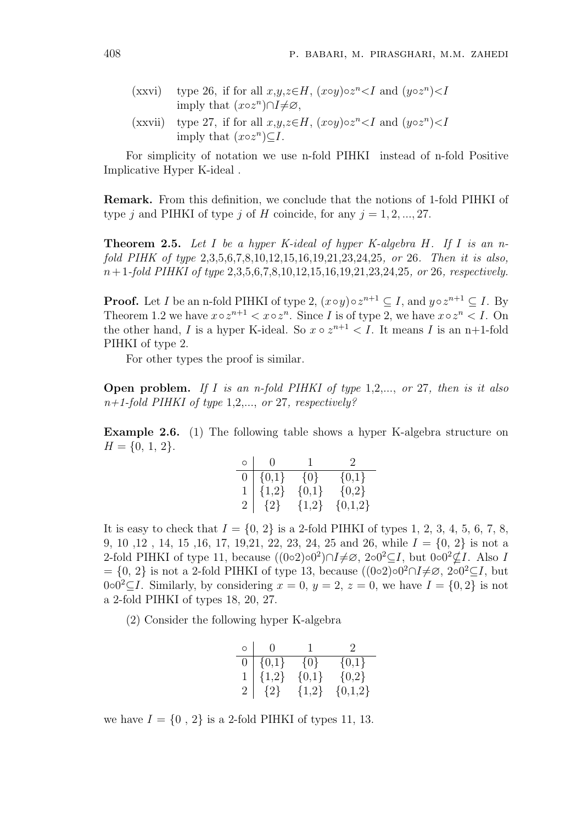- (xxvi) type 26, if for all  $x,y,z \in H$ ,  $(x \circ y) \circ z^n < I$  and  $(y \circ z^n) < I$ imply that  $(x \circ z^n) \cap I \neq \emptyset$ , (xxvii) type 27, if for all  $x,y,z \in H$ ,  $(x \circ y) \circ z^n < I$  and  $(y \circ z^n) < I$
- imply that  $(x \circ z^n) \subseteq I$ .

For simplicity of notation we use n-fold PIHKI instead of n-fold Positive Implicative Hyper K-ideal .

Remark. From this definition, we conclude that the notions of 1-fold PIHKI of type j and PIHKI of type j of H coincide, for any  $j = 1, 2, ..., 27$ .

**Theorem 2.5.** Let I be a hyper K-ideal of hyper K-algebra H. If I is an nfold PIHK of type 2,3,5,6,7,8,10,12,15,16,19,21,23,24,25, or 26. Then it is also,  $n+1$ -fold PIHKI of type  $2,3,5,6,7,8,10,12,15,16,19,21,23,24,25$ , or 26, respectively.

**Proof.** Let *I* be an n-fold PIHKI of type 2,  $(x \circ y) \circ z^{n+1} \subseteq I$ , and  $y \circ z^{n+1} \subseteq I$ . By Theorem 1.2 we have  $x \circ z^{n+1} < x \circ z^n$ . Since I is of type 2, we have  $x \circ z^n < I$ . On the other hand, I is a hyper K-ideal. So  $x \circ z^{n+1} < I$ . It means I is an n+1-fold PIHKI of type 2.

For other types the proof is similar.

**Open problem.** If I is an n-fold PIHKI of type  $1,2,...,$  or  $27$ , then is it also  $n+1$ -fold PIHKI of type 1,2,..., or 27, respectively?

Example 2.6. (1) The following table shows a hyper K-algebra structure on  $H = \{0, 1, 2\}.$ 

| $\circ$        | $\bigcap$ | $\mathbf{I}$ | $\mathcal{L}$ |
|----------------|-----------|--------------|---------------|
| 0              | $\{0,1\}$ | $\{0\}$      | $\{0,1\}$     |
|                | ${1,2}$   | ${0,1}$      | ${0,2}$       |
| $\overline{2}$ | $\{2\}$   | ${1,2}$      | $\{0,1,2\}$   |

It is easy to check that  $I = \{0, 2\}$  is a 2-fold PIHKI of types 1, 2, 3, 4, 5, 6, 7, 8, 9, 10, 12, 14, 15, 16, 17, 19, 21, 22, 23, 24, 25 and 26, while  $I = \{0, 2\}$  is not a 2-fold PIHKI of type 11, because  $((0 \circ 2) \circ 0^2) \cap I \neq \emptyset$ ,  $2 \circ 0^2 \subseteq I$ , but  $0 \circ 0^2 \nsubseteq I$ . Also I  $= \{0, 2\}$  is not a 2-fold PIHKI of type 13, because  $((0 \circ 2) \circ 0^2 \cap I \neq \emptyset, 2 \circ 0^2 \subseteq I$ , but 0∘0<sup>2</sup>⊆I. Similarly, by considering  $x = 0$ ,  $y = 2$ ,  $z = 0$ , we have  $I = \{0, 2\}$  is not a 2-fold PIHKI of types 18, 20, 27.

(2) Consider the following hyper K-algebra

| $\circ$        | $\bigcap$ |         | $\mathcal{L}$ |
|----------------|-----------|---------|---------------|
| $\overline{0}$ | $\{0,1\}$ | $\{0\}$ | ${0,1}$       |
|                | ${1,2}$   | ${0,1}$ | ${0,2}$       |
| $\overline{2}$ | ${2}$     | ${1,2}$ | $\{0,1,2\}$   |

we have  $I = \{0, 2\}$  is a 2-fold PIHKI of types 11, 13.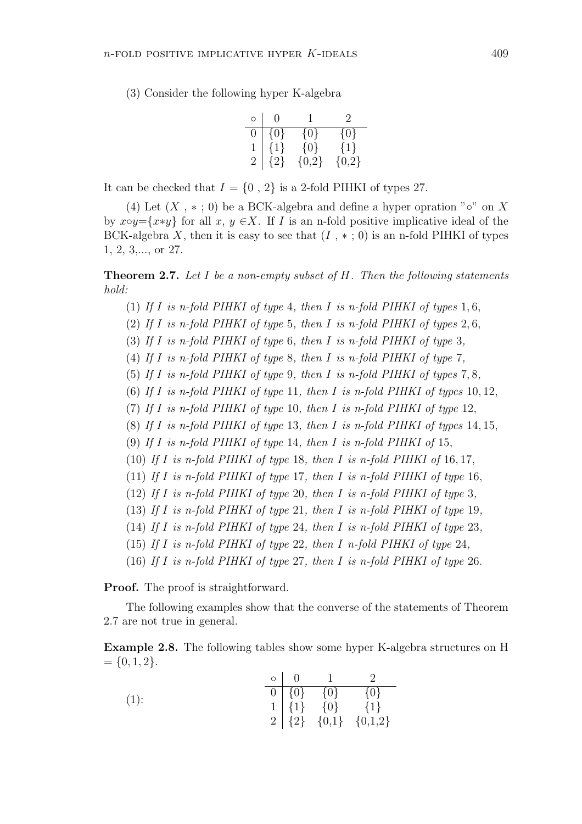(3) Consider the following hyper K-algebra

| O              | $\mathbf{0}$ |         | $\mathcal{D}_{\mathcal{L}}$ |
|----------------|--------------|---------|-----------------------------|
| 0              | $\{0\}$      | $\{0\}$ | $\{0\}$                     |
| $\mathbf{1}$   | ${1}$        | ${0}$   | ${1}$                       |
| $\overline{2}$ | $\{2\}$      | ${0,2}$ | ${0,2}$                     |

It can be checked that  $I = \{0, 2\}$  is a 2-fold PIHKI of types 27.

(4) Let  $(X, *; 0)$  be a BCK-algebra and define a hyper opration " $\circ$ " on X by x∘y={x∗y} for all x, y  $\in X$ . If I is an n-fold positive implicative ideal of the BCK-algebra X, then it is easy to see that  $(I, *; 0)$  is an n-fold PIHKI of types 1, 2, 3,..., or 27.

**Theorem 2.7.** Let I be a non-empty subset of  $H$ . Then the following statements hold:

- (1) If I is n-fold PIHKI of type 4, then I is n-fold PIHKI of types  $1, 6$ ,
- (2) If I is n-fold PIHKI of type 5, then I is n-fold PIHKI of types 2, 6,
- (3) If I is n-fold PIHKI of type 6, then I is n-fold PIHKI of type 3,
- (4) If I is n-fold PIHKI of type 8, then I is n-fold PIHKI of type 7,
- (5) If I is n-fold PIHKI of type 9, then I is n-fold PIHKI of types  $7, 8$ ,
- (6) If I is n-fold PIHKI of type 11, then I is n-fold PIHKI of types 10, 12,
- (7) If I is n-fold PIHKI of type 10, then I is n-fold PIHKI of type 12,
- (8) If I is n-fold PIHKI of type 13, then I is n-fold PIHKI of types 14, 15,
- (9) If I is n-fold PIHKI of type 14, then I is n-fold PIHKI of 15,
- (10) If I is n-fold PIHKI of type 18, then I is n-fold PIHKI of 16, 17,
- (11) If I is n-fold PIHKI of type 17, then I is n-fold PIHKI of type 16,
- (12) If I is n-fold PIHKI of type 20, then I is n-fold PIHKI of type 3,
- (13) If I is n-fold PIHKI of type 21, then I is n-fold PIHKI of type 19,
- (14) If I is n-fold PIHKI of type 24, then I is n-fold PIHKI of type 23,
- (15) If I is n-fold PIHKI of type 22, then I n-fold PIHKI of type 24,
- (16) If I is n-fold PIHKI of type 27, then I is n-fold PIHKI of type 26.

**Proof.** The proof is straightforward.

The following examples show that the converse of the statements of Theorem 2.7 are not true in general.

Example 2.8. The following tables show some hyper K-algebra structures on H  $= \{0, 1, 2\}.$ 

|         | $\circ$   0 |                                     |                                   |
|---------|-------------|-------------------------------------|-----------------------------------|
| $(1)$ : |             | $\boxed{0}$ $\boxed{0}$ $\boxed{0}$ | $\{0\}$                           |
|         |             | $1   \{1\}$ $\{0\}$ $\{1\}$         |                                   |
|         |             |                                     | $2   {2} \{2\}   {0,1} \{0,1,2\}$ |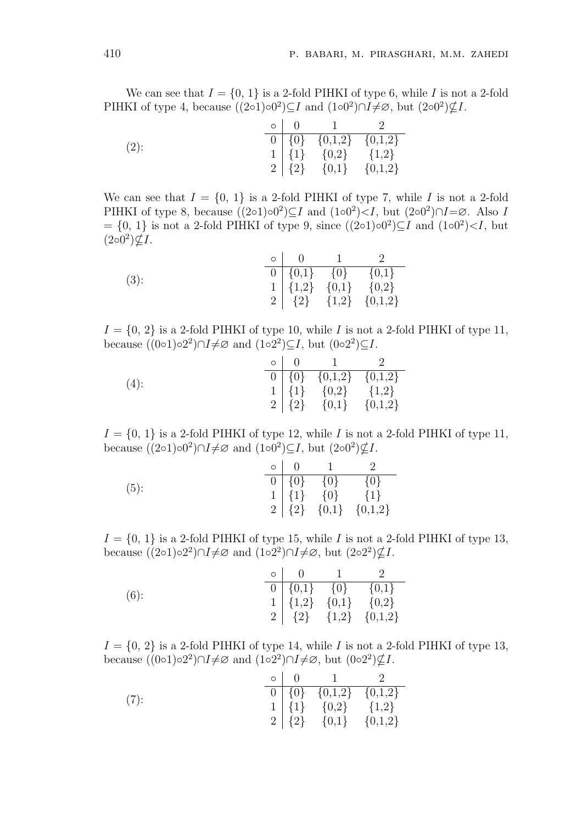We can see that  $I = \{0, 1\}$  is a 2-fold PIHKI of type 6, while I is not a 2-fold PIHKI of type 4, because  $((2 \circ 1) \circ 0^2) \subseteq I$  and  $(1 \circ 0^2) \cap I \neq \emptyset$ , but  $(2 \circ 0^2) \nsubseteq I$ .

|         | $\circ$   $\theta$ |                                 |  |
|---------|--------------------|---------------------------------|--|
| $(2)$ : |                    | $\boxed{0}$ {0} {0,1,2} {0,1,2} |  |
|         |                    | $1   \{1\} \{0,2\} \{1,2\}$     |  |
|         |                    | $2   {2}$ {0,1} {0,1,2}         |  |

We can see that  $I = \{0, 1\}$  is a 2-fold PIHKI of type 7, while I is not a 2-fold PIHKI of type 8, because  $((2 \circ 1) \circ 0^2) \subseteq I$  and  $(1 \circ 0^2) \le I$ , but  $(2 \circ 0^2) \cap I = \emptyset$ . Also I  $= \{0, 1\}$  is not a 2-fold PIHKI of type 9, since  $((2 \circ 1) \circ 0^2) \subseteq I$  and  $(1 \circ 0^2) \le I$ , but  $(2\circ 0^2)\nsubseteq I$ .

| $(3)$ : |  | $0   \{0,1\}$ $\{0\}$ $\overline{\{0,1\}}$                                                             |
|---------|--|--------------------------------------------------------------------------------------------------------|
|         |  | $\begin{array}{c cc}\n1 & \{1,2\} & \{0,1\} & \{0,2\} \\ 2 & \{2\} & \{1,2\} & \{0,1,2\}\n\end{array}$ |
|         |  |                                                                                                        |

 $I = \{0, 2\}$  is a 2-fold PIHKI of type 10, while I is not a 2-fold PIHKI of type 11, because  $((0 \circ 1) \circ 2^2) \cap I \neq \emptyset$  and  $(1 \circ 2^2) \subseteq I$ , but  $(0 \circ 2^2) \subseteq I$ .

|         | $\circ$   0 | $\sim$ 1 $\sim$                 |  |
|---------|-------------|---------------------------------|--|
| $(4)$ : |             | $\boxed{0}$ {0} {0,1,2} {0,1,2} |  |
|         |             | $1   \{1\}$ $\{0,2\}$ $\{1,2\}$ |  |
|         |             | $2   {2} \{0,1\} \{0,1,2\}$     |  |

 $I = \{0, 1\}$  is a 2-fold PIHKI of type 12, while I is not a 2-fold PIHKI of type 11, because  $((2 \circ 1) \circ 0^2) \cap I \neq \emptyset$  and  $(1 \circ 0^2) \subseteq I$ , but  $(2 \circ 0^2) \nsubseteq I$ .

|         | $\circ$   0 |                     |                             |
|---------|-------------|---------------------|-----------------------------|
| $(5)$ : |             | $0 \{0\}$ $\{0\}$   | $\{0\}$                     |
|         |             | $1   \{1\}$ $\{0\}$ | $\{1\}$                     |
|         |             |                     | $2   {2} \{0,1\} \{0,1,2\}$ |

 $I = \{0, 1\}$  is a 2-fold PIHKI of type 15, while I is not a 2-fold PIHKI of type 13, because  $((2 \circ 1) \circ 2^2) \cap I \neq \emptyset$  and  $(1 \circ 2^2) \cap I \neq \emptyset$ , but  $(2 \circ 2^2) \nsubseteq I$ .

|         | $\circ$   $\qquad$   $\qquad$ |                                 |                                   |
|---------|-------------------------------|---------------------------------|-----------------------------------|
| $(6)$ : |                               | $0   \{0,1\}$ $\{0\}$ $\{0,1\}$ |                                   |
|         |                               |                                 | $1   \{1,2\} \{0,1\} \{0,2\}$     |
|         |                               |                                 | 2   $\{2\}$ $\{1,2\}$ $\{0,1,2\}$ |

 $I = \{0, 2\}$  is a 2-fold PIHKI of type 14, while I is not a 2-fold PIHKI of type 13, because  $((0 \circ 1) \circ 2^2) \cap I \neq \emptyset$  and  $(1 \circ 2^2) \cap I \neq \emptyset$ , but  $(0 \circ 2^2) \nsubseteq I$ .

|      |  | $\circ$   0   1   2             |  |
|------|--|---------------------------------|--|
| (7): |  | $\boxed{0}$ {0} {0,1,2} {0,1,2} |  |
|      |  | $1   \{1\} \{0,2\} \{1,2\}$     |  |
|      |  | $2   {2} \{0,1\} \{0,1,2\}$     |  |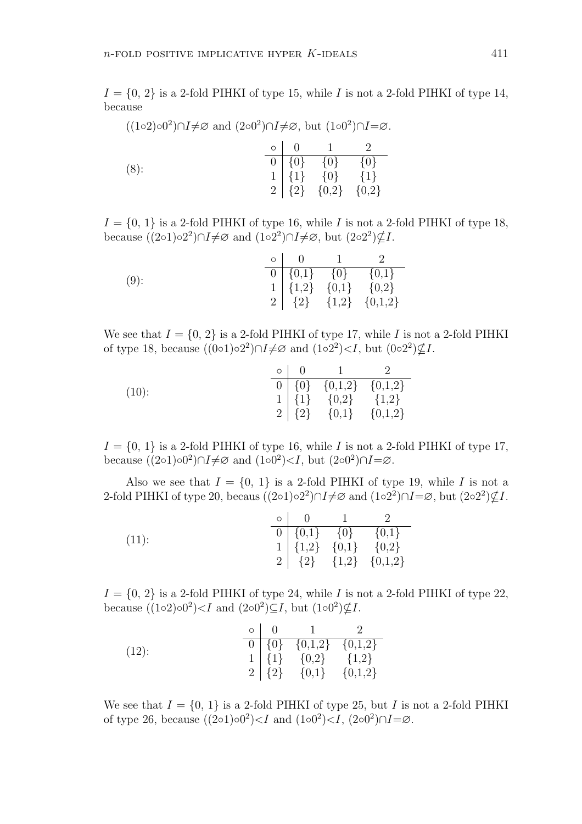$I = \{0, 2\}$  is a 2-fold PIHKI of type 15, while I is not a 2-fold PIHKI of type 14, because

| $((1\circ 2)\circ 0^2)\cap I\neq\emptyset$ and $(2\circ 0^2)\cap I\neq\emptyset$ , but $(1\circ 0^2)\cap I=\emptyset$ . |  |                                                                                                                              |  |
|-------------------------------------------------------------------------------------------------------------------------|--|------------------------------------------------------------------------------------------------------------------------------|--|
|                                                                                                                         |  | $\circ$   0   1   2                                                                                                          |  |
| $(8)$ :                                                                                                                 |  |                                                                                                                              |  |
|                                                                                                                         |  |                                                                                                                              |  |
|                                                                                                                         |  | $\begin{tabular}{c c} 0 & \{0\} & \{0\} & \{0\} \\ 1 & \{1\} & \{0\} & \{1\} \\ 2 & \{2\} & \{0,2\} & \{0,2\} \end{tabular}$ |  |

 $I = \{0, 1\}$  is a 2-fold PIHKI of type 16, while I is not a 2-fold PIHKI of type 18, because  $((2 \circ 1) \circ 2^2) \cap I \neq \emptyset$  and  $(1 \circ 2^2) \cap I \neq \emptyset$ , but  $(2 \circ 2^2) \nsubseteq I$ .

|         |  | $\circ$   0   1   2             |                                                                                                                                                                      |
|---------|--|---------------------------------|----------------------------------------------------------------------------------------------------------------------------------------------------------------------|
| $(9)$ : |  | $0   \{0,1\}$ $\{0\}$ $\{0,1\}$ |                                                                                                                                                                      |
|         |  |                                 | $1   \{1,2\} \{0,1\} \{0,2\}$                                                                                                                                        |
|         |  |                                 | $\begin{bmatrix} 1 & 1 & 1 \\ 2 & 1 & 2 \end{bmatrix}$ $\begin{bmatrix} 1 & 1 & 1 \\ 1 & 1 & 2 \end{bmatrix}$ $\begin{bmatrix} 0 & 1 & 1 \\ 0 & 1 & 1 \end{bmatrix}$ |

We see that  $I = \{0, 2\}$  is a 2-fold PIHKI of type 17, while I is not a 2-fold PIHKI of type 18, because  $((0 \circ 1) \circ 2^2) \cap I \neq \emptyset$  and  $(1 \circ 2^2) \lt I$ , but  $(0 \circ 2^2) \not\subseteq I$ .

|          |  | $\circ$   0   1                 | $\mathcal{L}$ |
|----------|--|---------------------------------|---------------|
| $(10)$ : |  | $0   \{0\} \{0,1,2\} \{0,1,2\}$ |               |
|          |  | $1   \{1\} \{0,2\} \{1,2\}$     |               |
|          |  | $2   {2} \{0,1\} \{0,1,2\}$     |               |

 $I = \{0, 1\}$  is a 2-fold PIHKI of type 16, while I is not a 2-fold PIHKI of type 17, because  $((2 \circ 1) \circ 0^2) \cap I \neq \emptyset$  and  $(1 \circ 0^2) < I$ , but  $(2 \circ 0^2) \cap I = \emptyset$ .

Also we see that  $I = \{0, 1\}$  is a 2-fold PIHKI of type 19, while I is not a 2-fold PIHKI of type 20, becaus  $((2\circ 1)\circ 2^2)\cap I\neq\emptyset$  and  $(1\circ 2^2)\cap I=\emptyset$ , but  $(2\circ 2^2)\nsubseteq I$ .

|          |  | $\circ$ 0 1                     |                                                                                                        |
|----------|--|---------------------------------|--------------------------------------------------------------------------------------------------------|
| $(11)$ : |  | $0   \{0,1\}$ $\{0\}$ $\{0,1\}$ |                                                                                                        |
|          |  |                                 |                                                                                                        |
|          |  |                                 | $\begin{array}{c cc}\n1 & \{1,2\} & \{0,1\} & \{0,2\} \\ 2 & \{2\} & \{1,2\} & \{0,1,2\}\n\end{array}$ |

 $I = \{0, 2\}$  is a 2-fold PIHKI of type 24, while I is not a 2-fold PIHKI of type 22, because  $((1\circ 2)\circ 0^2)\leq I$  and  $(2\circ 0^2)\subseteq I$ , but  $(1\circ 0^2)\nsubseteq I$ .

|          |  | $\circ$   $\qquad$   $\qquad$   $\qquad$   $\qquad$   $\qquad$   $\qquad$   $\qquad$   $\qquad$   $\qquad$   $\qquad$   $\qquad$   $\qquad$   $\qquad$   $\qquad$   $\qquad$   $\qquad$   $\qquad$   $\qquad$   $\qquad$   $\qquad$   $\qquad$   $\qquad$   $\qquad$   $\qquad$   $\qquad$   $\qquad$   $\qquad$ | $\cdot$ |
|----------|--|------------------------------------------------------------------------------------------------------------------------------------------------------------------------------------------------------------------------------------------------------------------------------------------------------------------|---------|
| $(12)$ : |  | $\boxed{0}$ $\boxed{\{0\}$ $\boxed{\{0,1,2\}$ $\boxed{\{0,1,2\}}$                                                                                                                                                                                                                                                |         |
|          |  | $1   \{1\} \{0,2\} \{1,2\}$                                                                                                                                                                                                                                                                                      |         |
|          |  | $2   {2 \choose 2} \{0,1\} \{0,1,2\}$                                                                                                                                                                                                                                                                            |         |

We see that  $I = \{0, 1\}$  is a 2-fold PIHKI of type 25, but I is not a 2-fold PIHKI of type 26, because  $((2 \circ 1) \circ 0^2) < I$  and  $(1 \circ 0^2) < I$ ,  $(2 \circ 0^2) \cap I = \emptyset$ .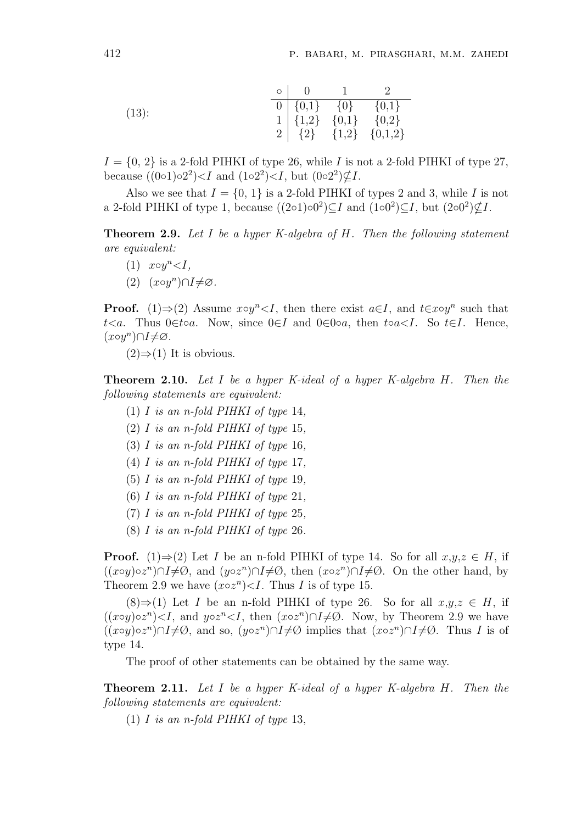(13):  
\n
$$
\begin{array}{c|ccccc}\n & 0 & 1 & 2 \\
\hline\n0 & \{0,1\} & \{0\} & \{0,1\} \\
1 & \{1,2\} & \{0,1\} & \{0,2\} \\
2 & \{2\} & \{1,2\} & \{0,1,2\}\n\end{array}
$$

 $I = \{0, 2\}$  is a 2-fold PIHKI of type 26, while I is not a 2-fold PIHKI of type 27, because  $((0 \circ 1) \circ 2^2) < I$  and  $(1 \circ 2^2) < I$ , but  $(0 \circ 2^2) \not\subseteq I$ .

Also we see that  $I = \{0, 1\}$  is a 2-fold PIHKI of types 2 and 3, while I is not a 2-fold PIHKI of type 1, because  $((2 \circ 1) \circ 0^2) \subseteq I$  and  $(1 \circ 0^2) \subseteq I$ , but  $(2 \circ 0^2) \nsubseteq I$ .

Theorem 2.9. Let I be a hyper K-algebra of H. Then the following statement are equivalent:

- $(1)$   $x \circ y^n < I$ ,
- (2)  $(x \circ y^n) \cap I \neq \emptyset$ .

**Proof.** (1) $\Rightarrow$ (2) Assume x∘y<sup>n</sup><I, then there exist  $a \in I$ , and  $t \in x \circ y^n$  such that t<a. Thus 0∈t∘a. Now, since 0∈I and 0∈0∘a, then t∘a in So t∈I. Hence,  $(x \circ y^n) \cap I \neq \varnothing$ .

 $(2) \Rightarrow (1)$  It is obvious.

Theorem 2.10. Let I be a hyper K-ideal of a hyper K-algebra H. Then the following statements are equivalent:

- (1) I is an n-fold PIHKI of type 14,
- (2) I is an n-fold PIHKI of type 15,
- (3) I is an n-fold PIHKI of type 16,
- (4)  $I$  is an n-fold PIHKI of type 17,
- (5) I is an n-fold PIHKI of type 19,
- (6)  $I$  is an n-fold PIHKI of type 21,
- (7) I is an n-fold PIHKI of type  $25$ ,
- (8) I is an n-fold PIHKI of type 26.

**Proof.** (1)⇒(2) Let I be an n-fold PIHKI of type 14. So for all  $x,y,z \in H$ , if  $((x \circ y) \circ z^n) \cap I \neq \emptyset$ , and  $(y \circ z^n) \cap I \neq \emptyset$ , then  $(x \circ z^n) \cap I \neq \emptyset$ . On the other hand, by Theorem 2.9 we have  $(x \circ z^n) < I$ . Thus *I* is of type 15.

 $(8) \Rightarrow (1)$  Let I be an n-fold PIHKI of type 26. So for all  $x,y,z \in H$ , if  $((x \circ y) \circ z^n) < I$ , and  $y \circ z^n < I$ , then  $(x \circ z^n) \cap I \neq \emptyset$ . Now, by Theorem 2.9 we have  $((x \circ y) \circ z^n) \cap I \neq \emptyset$ , and so,  $(y \circ z^n) \cap I \neq \emptyset$  implies that  $(x \circ z^n) \cap I \neq \emptyset$ . Thus I is of type 14.

The proof of other statements can be obtained by the same way.

**Theorem 2.11.** Let I be a hyper K-ideal of a hyper K-algebra  $H$ . Then the following statements are equivalent:

(1) I is an n-fold PIHKI of type 13,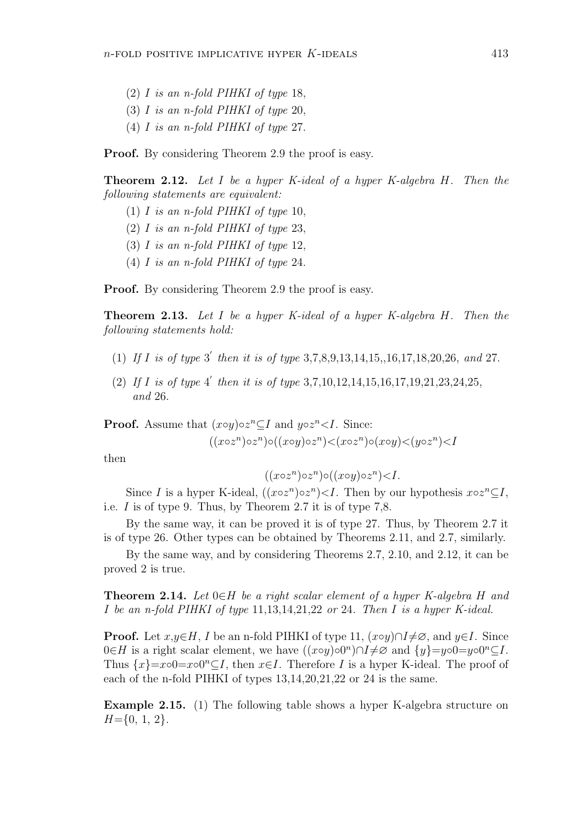- (2) I is an n-fold PIHKI of type 18,
- (3) I is an n-fold PIHKI of type 20,
- (4) I is an n-fold PIHKI of type 27.

**Proof.** By considering Theorem 2.9 the proof is easy.

Theorem 2.12. Let I be a hyper K-ideal of a hyper K-algebra H. Then the following statements are equivalent:

- (1) I is an n-fold PIHKI of type 10,
- (2) I is an n-fold PIHKI of type 23,
- (3)  $I$  is an n-fold PIHKI of type 12,
- (4) I is an n-fold PIHKI of type 24.

**Proof.** By considering Theorem 2.9 the proof is easy.

Theorem 2.13. Let I be a hyper K-ideal of a hyper K-algebra H. Then the following statements hold:

- (1) If I is of type 3' then it is of type  $3,7,8,9,13,14,15,16,17,18,20,26$ , and 27.
- (2) If I is of type  $4'$  then it is of type 3,7,10,12,14,15,16,17,19,21,23,24,25, and 26.

**Proof.** Assume that  $(x \circ y) \circ z^n \subseteq I$  and  $y \circ z^n \leq I$ . Since:

$$
((x \circ z^n) \circ z^n) \circ ((x \circ y) \circ z^n) \prec (x \circ z^n) \circ (x \circ y) \prec (y \circ z^n) \prec I
$$

then

$$
((x \circ z^n) \circ z^n) \circ ((x \circ y) \circ z^n) < I.
$$

Since I is a hyper K-ideal,  $((x \circ z^n) \circ z^n) < I$ . Then by our hypothesis  $x \circ z^n \subseteq I$ , i.e. I is of type 9. Thus, by Theorem 2.7 it is of type 7,8.

By the same way, it can be proved it is of type 27. Thus, by Theorem 2.7 it is of type 26. Other types can be obtained by Theorems 2.11, and 2.7, similarly.

By the same way, and by considering Theorems 2.7, 2.10, and 2.12, it can be proved 2 is true.

**Theorem 2.14.** Let  $0 \in H$  be a right scalar element of a hyper K-algebra H and I be an n-fold PIHKI of type 11,13,14,21,22 or 24. Then I is a hyper K-ideal.

**Proof.** Let  $x,y \in H$ , I be an n-fold PIHKI of type 11,  $(x \circ y) \cap I \neq \emptyset$ , and  $y \in I$ . Since  $0 \in H$  is a right scalar element, we have  $((x \circ y) \circ 0^n) \cap I \neq \emptyset$  and  $\{y\} = y \circ 0 = y \circ 0^n \subseteq I$ . Thus  $\{x\} = x \circ 0 = x \circ 0^n \subseteq I$ , then  $x \in I$ . Therefore I is a hyper K-ideal. The proof of each of the n-fold PIHKI of types 13,14,20,21,22 or 24 is the same.

Example 2.15. (1) The following table shows a hyper K-algebra structure on  $H=\{0, 1, 2\}.$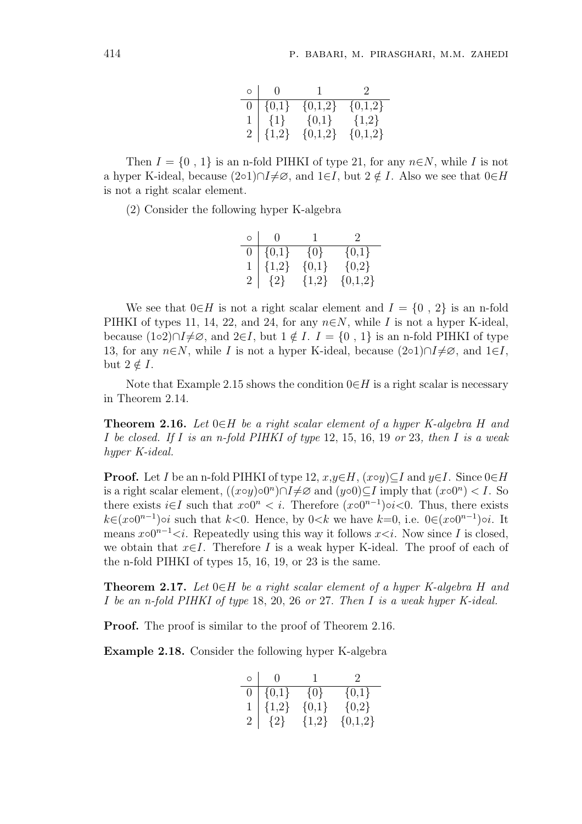| $\circ$   0   | $\begin{array}{ccc} & & 1 & \quad & 2 \end{array}$ |           |
|---------------|----------------------------------------------------|-----------|
| $0   \{0,1\}$ | ${0,1,2}$                                          | ${0,1,2}$ |
|               | $1   \{1\}$ $\{0,1\}$ $\{1,2\}$                    |           |
| $2   \{1,2\}$ | $\{0,1,2\}$                                        | ${0,1,2}$ |

Then  $I = \{0, 1\}$  is an n-fold PIHKI of type 21, for any  $n \in N$ , while I is not a hyper K-ideal, because  $(2∘1)∩I\neq\emptyset$ , and  $1∈I$ , but  $2\notin I$ . Also we see that  $0∈H$ is not a right scalar element.

(2) Consider the following hyper K-algebra

| $\circ$        | $\left( \right)$ |         | $\mathcal{D}$ |
|----------------|------------------|---------|---------------|
| 0              | $\{0,1\}$        | $\{0\}$ | ${0,1}$       |
|                | ${1,2}$          | ${0,1}$ | ${0,2}$       |
| $\overline{2}$ | $\{2\}$          | ${1,2}$ | ${0,1,2}$     |

We see that  $0\in H$  is not a right scalar element and  $I = \{0, 2\}$  is an n-fold PIHKI of types 11, 14, 22, and 24, for any  $n \in N$ , while I is not a hyper K-ideal, because (1◦2)∩ $I\neq\emptyset$ , and  $2\in I$ , but  $1 \notin I$ .  $I = \{0, 1\}$  is an n-fold PIHKI of type 13, for any  $n\in\mathbb{N}$ , while I is not a hyper K-ideal, because  $(2\circ 1)\cap I\neq\emptyset$ , and  $1\in I$ , but  $2 \notin I$ .

Note that Example 2.15 shows the condition  $0\in H$  is a right scalar is necessary in Theorem 2.14.

**Theorem 2.16.** Let  $0 \in H$  be a right scalar element of a hyper K-algebra H and I be closed. If I is an n-fold PIHKI of type 12, 15, 16, 19 or 23, then I is a weak hyper K-ideal.

**Proof.** Let I be an n-fold PIHKI of type 12,  $x,y \in H$ ,  $(x \circ y) \subseteq I$  and  $y \in I$ . Since  $0 \in H$ is a right scalar element,  $((x \circ y) \circ 0^n) \cap I \neq \emptyset$  and  $(y \circ 0) \subseteq I$  imply that  $(x \circ 0^n) < I$ . So there exists  $i \in I$  such that  $x \circ 0^n < i$ . Therefore  $(x \circ 0^{n-1}) \circ i < 0$ . Thus, there exists  $k \in (\infty 0^{n-1})$ oi such that  $k < 0$ . Hence, by  $0 < k$  we have  $k = 0$ , i.e.  $0 \in (\infty 0^{n-1})$ oi. It means  $x\circ 0^{n-1} < i$ . Repeatedly using this way it follows  $x < i$ . Now since I is closed, we obtain that  $x \in I$ . Therefore I is a weak hyper K-ideal. The proof of each of the n-fold PIHKI of types 15, 16, 19, or 23 is the same.

**Theorem 2.17.** Let  $0 \in H$  be a right scalar element of a hyper K-algebra H and I be an n-fold PIHKI of type 18, 20, 26 or 27. Then I is a weak hyper K-ideal.

Proof. The proof is similar to the proof of Theorem 2.16.

Example 2.18. Consider the following hyper K-algebra

| $\circ$        | $\Omega$  | $\mathbf{I}$ | $\mathcal{L}$ |
|----------------|-----------|--------------|---------------|
| 0              | $\{0,1\}$ | $\{0\}$      | $\{0,1\}$     |
|                | ${1,2}$   | ${0,1}$      | ${0,2}$       |
| $\overline{2}$ | ${2}$     | ${1,2}$      | ${0,1,2}$     |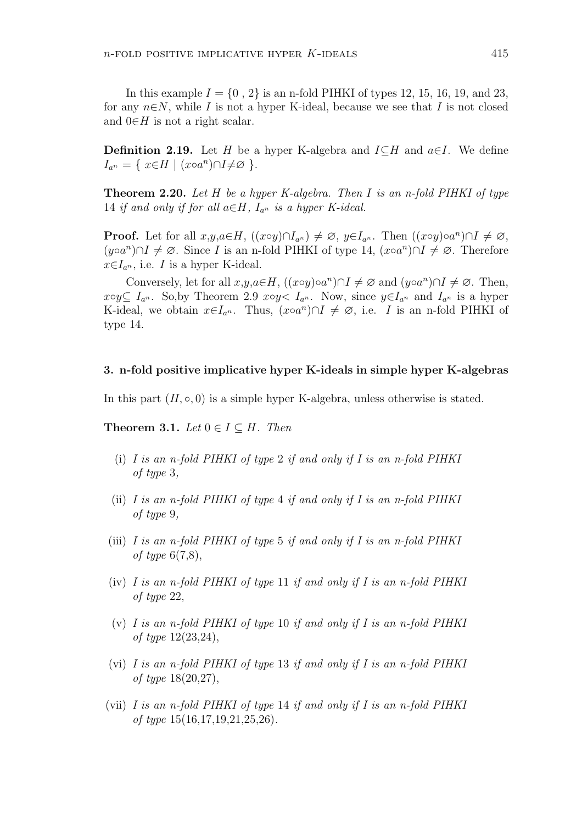**Definition 2.19.** Let H be a hyper K-algebra and  $I\subseteq H$  and  $a\in I$ . We define  $I_{a^n} = \{ x \in H \mid (x \circ a^n) \cap I \neq \emptyset \}$ .

**Theorem 2.20.** Let H be a hyper K-algebra. Then I is an n-fold PIHKI of type 14 if and only if for all  $a \in H$ ,  $I_{a^n}$  is a hyper K-ideal.

**Proof.** Let for all  $x,y,a \in H$ ,  $((x \circ y) \cap I_{a^n}) \neq \emptyset$ ,  $y \in I_{a^n}$ . Then  $((x \circ y) \circ a^n) \cap I \neq \emptyset$ ,  $(y \circ a^n) \cap I \neq \emptyset$ . Since *I* is an n-fold PIHKI of type 14,  $(x \circ a^n) \cap I \neq \emptyset$ . Therefore  $x \in I_{a^n}$ , i.e. I is a hyper K-ideal.

Conversely, let for all  $x,y,a \in H$ ,  $((x \circ y) \circ a^n) \cap I \neq \emptyset$  and  $(y \circ a^n) \cap I \neq \emptyset$ . Then,  $x \circ y \subseteq I_{a^n}$ . So, by Theorem 2.9  $x \circ y \leq I_{a^n}$ . Now, since  $y \in I_{a^n}$  and  $I_{a^n}$  is a hyper K-ideal, we obtain  $x \in I_{a^n}$ . Thus,  $(x \circ a^n) \cap I \neq \emptyset$ , i.e. *I* is an n-fold PIHKI of type 14.

#### 3. n-fold positive implicative hyper K-ideals in simple hyper K-algebras

In this part  $(H, \circ, 0)$  is a simple hyper K-algebra, unless otherwise is stated.

Theorem 3.1. Let  $0 \in I \subseteq H$ . Then

- (i) I is an n-fold PIHKI of type 2 if and only if I is an n-fold PIHKI of type 3,
- (ii) I is an n-fold PIHKI of type 4 if and only if I is an n-fold PIHKI of type 9,
- (iii) I is an n-fold PIHKI of type 5 if and only if I is an n-fold PIHKI of type  $6(7,8)$ ,
- (iv) I is an n-fold PIHKI of type 11 if and only if I is an n-fold PIHKI of type 22,
- (v) I is an n-fold PIHKI of type 10 if and only if I is an n-fold PIHKI of type 12(23,24),
- (vi) I is an n-fold PIHKI of type 13 if and only if I is an n-fold PIHKI of type 18(20,27),
- (vii) I is an n-fold PIHKI of type 14 if and only if I is an n-fold PIHKI of type 15(16,17,19,21,25,26).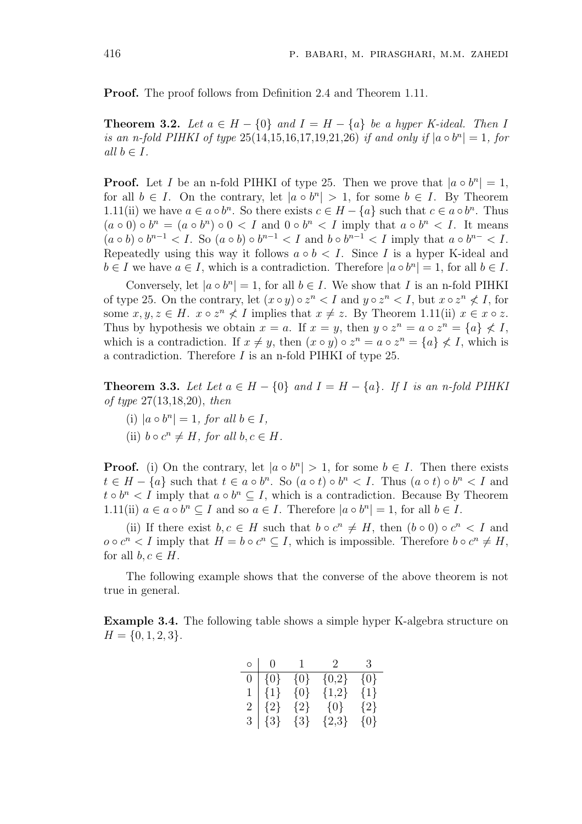Proof. The proof follows from Definition 2.4 and Theorem 1.11.

**Theorem 3.2.** Let  $a \in H - \{0\}$  and  $I = H - \{a\}$  be a hyper K-ideal. Then I is an n-fold PIHKI of type  $25(14,15,16,17,19,21,26)$  if and only if  $|a \circ b^n| = 1$ , for all  $b \in I$ .

**Proof.** Let I be an n-fold PIHKI of type 25. Then we prove that  $|a \circ b^n| = 1$ , for all  $b \in I$ . On the contrary, let  $|a \circ b^n| > 1$ , for some  $b \in I$ . By Theorem 1.11(ii) we have  $a \in a \circ b^n$ . So there exists  $c \in H - \{a\}$  such that  $c \in a \circ b^n$ . Thus  $(a \circ 0) \circ b^n = (a \circ b^n) \circ 0 < I$  and  $0 \circ b^n < I$  imply that  $a \circ b^n < I$ . It means  $(a \circ b) \circ b^{n-1} < I$ . So  $(a \circ b) \circ b^{n-1} < I$  and  $b \circ b^{n-1} < I$  imply that  $a \circ b^{n-1} < I$ . Repeatedly using this way it follows  $a \circ b < I$ . Since I is a hyper K-ideal and  $b \in I$  we have  $a \in I$ , which is a contradiction. Therefore  $|a \circ b^n| = 1$ , for all  $b \in I$ .

Conversely, let  $|a \circ b^n| = 1$ , for all  $b \in I$ . We show that I is an n-fold PIHKI of type 25. On the contrary, let  $(x \circ y) \circ z^n < I$  and  $y \circ z^n < I$ , but  $x \circ z^n \not\leq I$ , for some  $x, y, z \in H$ .  $x \circ z^n \nless I$  implies that  $x \neq z$ . By Theorem 1.11(ii)  $x \in x \circ z$ . Thus by hypothesis we obtain  $x = a$ . If  $x = y$ , then  $y \circ z^n = a \circ z^n = \{a\} \nleq I$ , which is a contradiction. If  $x \neq y$ , then  $(x \circ y) \circ z^n = a \circ z^n = \{a\} \not\leq I$ , which is a contradiction. Therefore I is an n-fold PIHKI of type 25.

**Theorem 3.3.** Let Let  $a \in H - \{0\}$  and  $I = H - \{a\}$ . If I is an n-fold PIHKI of type 27(13,18,20), then

- (i)  $|a \circ b^n| = 1$ , for all  $b \in I$ ,
- (ii)  $b \circ c^n \neq H$ , for all  $b, c \in H$ .

**Proof.** (i) On the contrary, let  $|a \circ b^n| > 1$ , for some  $b \in I$ . Then there exists  $t \in H - \{a\}$  such that  $t \in a \circ b^n$ . So  $(a \circ t) \circ b^n < I$ . Thus  $(a \circ t) \circ b^n < I$  and  $t \circ b^n < I$  imply that  $a \circ b^n \subseteq I$ , which is a contradiction. Because By Theorem 1.11(ii)  $a \in a \circ b^n \subseteq I$  and so  $a \in I$ . Therefore  $|a \circ b^n| = 1$ , for all  $b \in I$ .

(ii) If there exist  $b, c \in H$  such that  $b \circ c^n \neq H$ , then  $(b \circ 0) \circ c^n < I$  and  $o \circ c^n < I$  imply that  $H = b \circ c^n \subseteq I$ , which is impossible. Therefore  $b \circ c^n \neq H$ , for all  $b, c \in H$ .

The following example shows that the converse of the above theorem is not true in general.

Example 3.4. The following table shows a simple hyper K-algebra structure on  $H = \{0, 1, 2, 3\}.$ 

| $\circ$        | $\overline{0}$ | $\mathbf{1}$ | $\mathcal{L}$ | $\mathcal{B}$ |
|----------------|----------------|--------------|---------------|---------------|
| $\overline{0}$ | ${0}$          | $\{0\}$      | ${0,2}$       | $\{0\}$       |
|                | $\{1\}$        | $\{0\}$      | ${1,2}$       | $\{1\}$       |
| 2 <sup>1</sup> | ${2}$          | $\{2\}$      | $\{0\}$       | ${2}$         |
| 3 <sup>1</sup> | $\{3\}$        | $\{3\}$      | ${2,3}$       | $\{0\}$       |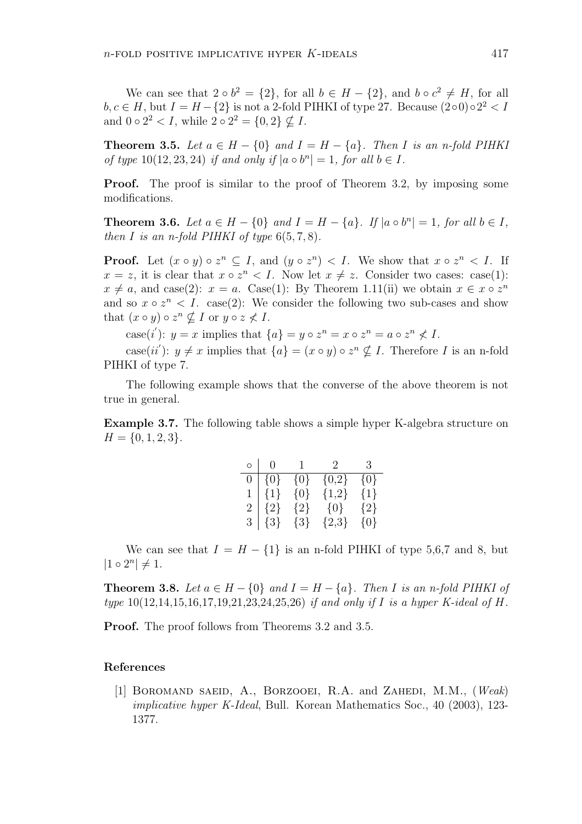We can see that  $2 \circ b^2 = \{2\}$ , for all  $b \in H - \{2\}$ , and  $b \circ c^2 \neq H$ , for all  $b, c \in H$ , but  $I = H - \{2\}$  is not a 2-fold PIHKI of type 27. Because  $(200) \circ 2^2 < I$ and  $0 \circ 2^2 < I$ , while  $2 \circ 2^2 = \{0, 2\} \nsubseteq I$ .

**Theorem 3.5.** Let  $a \in H - \{0\}$  and  $I = H - \{a\}$ . Then I is an n-fold PIHKI of type  $10(12, 23, 24)$  if and only if  $|a \circ b^n| = 1$ , for all  $b \in I$ .

**Proof.** The proof is similar to the proof of Theorem 3.2, by imposing some modifications.

**Theorem 3.6.** Let  $a \in H - \{0\}$  and  $I = H - \{a\}$ . If  $|a \circ b^n| = 1$ , for all  $b \in I$ , then I is an n-fold PIHKI of type  $6(5, 7, 8)$ .

**Proof.** Let  $(x \circ y) \circ z^n \subseteq I$ , and  $(y \circ z^n) < I$ . We show that  $x \circ z^n < I$ . If  $x = z$ , it is clear that  $x \circ z^n < I$ . Now let  $x \neq z$ . Consider two cases: case(1):  $x \neq a$ , and case(2):  $x = a$ . Case(1): By Theorem 1.11(ii) we obtain  $x \in x \circ z^n$ and so  $x \circ z^n$  < I. case(2): We consider the following two sub-cases and show that  $(x \circ y) \circ z^n \nsubseteq I$  or  $y \circ z \nless I$ .

case(*i*'):  $y = x$  implies that  $\{a\} = y \circ z^n = x \circ z^n = a \circ z^n \not\leq I$ .

case(ii'):  $y \neq x$  implies that  $\{a\} = (x \circ y) \circ z^n \nsubseteq I$ . Therefore I is an n-fold PIHKI of type 7.

The following example shows that the converse of the above theorem is not true in general.

Example 3.7. The following table shows a simple hyper K-algebra structure on  $H = \{0, 1, 2, 3\}.$ 

| $\circ$        | $\left( \right)$ | $\mathbf{I}$ | $\mathcal{L}$ | -3      |
|----------------|------------------|--------------|---------------|---------|
| 0.             | $\{0\}$          | $\{0\}$      | ${0,2}$       | $\{0\}$ |
|                | $\{1\}$          | $\{0\}$      | ${1,2}$       | $\{1\}$ |
| $\overline{2}$ | ${2}$            | $\{2\}$      | ${0}$         | ${2}$   |
| 3 <sup>2</sup> | $\{3\}$          | $\{3\}$      | ${2,3}$       | $\{0\}$ |

We can see that  $I = H - \{1\}$  is an n-fold PIHKI of type 5,6,7 and 8, but  $|1 \circ 2^n| \neq 1.$ 

**Theorem 3.8.** Let  $a \in H - \{0\}$  and  $I = H - \{a\}$ . Then I is an n-fold PIHKI of type  $10(12, 14, 15, 16, 17, 19, 21, 23, 24, 25, 26)$  if and only if I is a hyper K-ideal of H.

Proof. The proof follows from Theorems 3.2 and 3.5.

### References

[1] BOROMAND SAEID, A., BORZOOEI, R.A. and ZAHEDI, M.M., (Weak) implicative hyper K-Ideal, Bull. Korean Mathematics Soc., 40 (2003), 123- 1377.